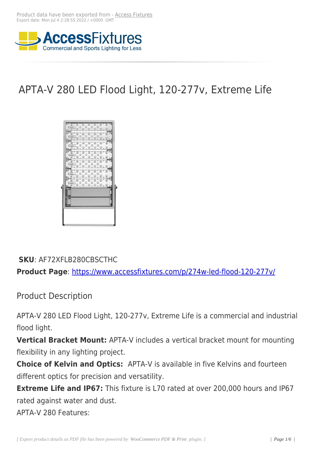

# APTA-V 280 LED Flood Light, 120-277v, Extreme Life



### **SKU**: AF72XFLB280CBSCTHC

**Product Page**: https://www.accessfixtures.com/p/274w-led-flood-120-277v/

Product Descr[iption](https://www.accessfixtures.com/p/274w-led-flood-120-277v/)

APTA-V 280 LED Flood Light, 120-277v, Extreme Life is a commercial and industrial flood light.

**Vertical Bracket Mount:** APTA-V includes a vertical bracket mount for mounting flexibility in any lighting project.

**Choice of Kelvin and Optics:** APTA-V is available in five Kelvins and fourteen different optics for precision and versatility.

**Extreme Life and IP67:** This fixture is L70 rated at over 200,000 hours and IP67 rated against water and dust.

APTA-V 280 Features: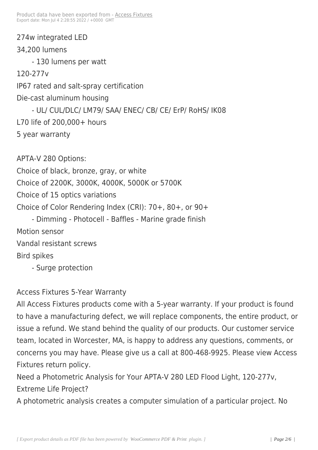274w integrated LED 34,200 lumens - 130 lumens per watt 120-277v IP67 rated and salt-spray certification Die-cast aluminum housing - UL/ CUL/DLC/ LM79/ SAA/ ENEC/ CB/ CE/ ErP/ RoHS/ IK08 L70 life of 200,000+ hours 5 year warranty APTA-V 280 Options: Choice of black, bronze, gray, or white Choice of 2200K, 3000K, 4000K, 5000K or 5700K Choice of 15 optics variations Choice of Color Rendering Index (CRI): 70+, 80+, or 90+

- Dimming - Photocell - Baffles - Marine grade finish Motion sensor Vandal resistant screws Bird spikes - Surge protection

#### Access Fixtures 5-Year Warranty

All Access Fixtures products come with a 5-year warranty. If your product is found to have a manufacturing defect, we will replace components, the entire product, or issue a refund. We stand behind the quality of our products. Our customer service team, located in Worcester, MA, is happy to address any questions, comments, or concerns you may have. Please give us a call at 800-468-9925. Please view Access Fixtures return policy.

Need a Photometric Analysis for Your APTA-V 280 LED Flood Light, 120-277v, Extreme Life Project?

A photometric analysis creates a computer simulation of a particular project. No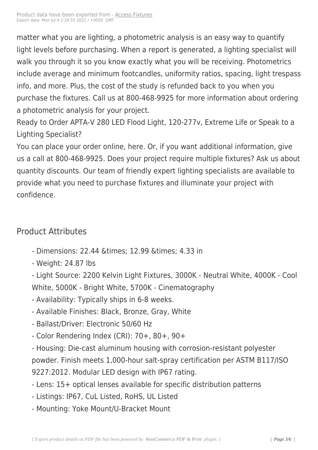matter what you are lighting[, a photome](https://www.accessfixtures.com/?post_type=product&p=76474)tric analysis is an easy way to quantify light levels before purchasing. When a report is generated, a lighting specialist will walk you through it so you know exactly what you will be receiving. Photometrics include average and minimum footcandles, uniformity ratios, spacing, light trespass info, and more. Plus, the cost of the study is refunded back to you when you purchase the fixtures. Call us at 800-468-9925 for more information about ordering a photometric analysis for your project.

Ready to Order APTA-V 280 LED Flood Light, 120-277v, Extreme Life or Speak to a Lighting Specialist?

You can place your order online, here. Or, if you want additional information, give us a call at 800-468-9925. Does your project require multiple fixtures? Ask us about quantity discounts. Our team of friendly expert lighting specialists are available to provide what you need to purchase fixtures and illuminate your project with confidence.

## Product Attributes

- Dimensions: 22.44 & times; 12.99 & times; 4.33 in
- Weight: 24.87 lbs

- Light Source: 2200 Kelvin Light Fixtures, 3000K - Neutral White, 4000K - Cool White, 5000K - Bright White, 5700K - Cinematography

- Availability: Typically ships in 6-8 weeks.
- Available Finishes: Black, Bronze, Gray, White
- Ballast/Driver: Electronic 50/60 Hz
- Color Rendering Index (CRI): 70+, 80+, 90+
- Housing: Die-cast aluminum housing with corrosion-resistant polyester powder. Finish meets 1,000-hour salt-spray certification per ASTM B117/ISO 9227:2012. Modular LED design with IP67 rating.
- Lens: 15+ optical lenses available for specific distribution patterns
- Listings: IP67, CuL Listed, RoHS, UL Listed
- Mounting: Yoke Mount/U-Bracket Mount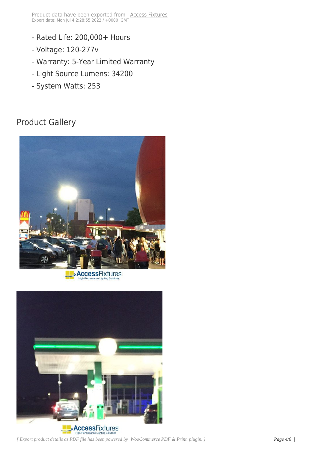- Rated Life: 200,000+ Hours
- Voltage: 120-277v
- Warranty: 5-Year Limited Warranty
- Light Source Lumens: 34200
- System Watts: 253

## Product Gallery



**AccessFixtures** 

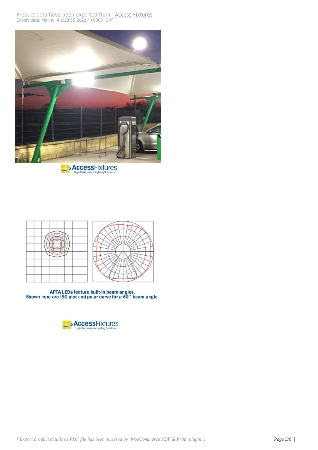





APTA LEDs feature built-in beam angles.<br>Shown here are ISO plot and polar curve for a 60° beam angle.